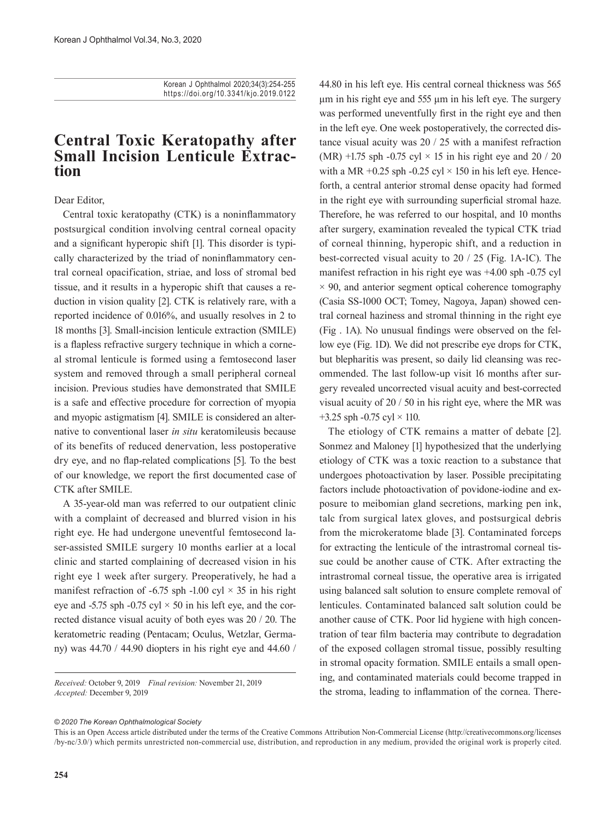# **Central Toxic Keratopathy after Small Incision Lenticule Extrac- tion**

Dear Editor,

Central toxic keratopathy (CTK) is a noninflammatory postsurgical condition involving central corneal opacity and a significant hyperopic shift [1]. This disorder is typically characterized by the triad of noninflammatory central corneal opacification, striae, and loss of stromal bed tissue, and it results in a hyperopic shift that causes a reduction in vision quality [2]. CTK is relatively rare, with a reported incidence of 0.016%, and usually resolves in 2 to 18 months [3]. Small-incision lenticule extraction (SMILE) is a flapless refractive surgery technique in which a corneal stromal lenticule is formed using a femtosecond laser system and removed through a small peripheral corneal incision. Previous studies have demonstrated that SMILE is a safe and effective procedure for correction of myopia and myopic astigmatism [4]. SMILE is considered an alternative to conventional laser *in situ* keratomileusis because of its benefits of reduced denervation, less postoperative dry eye, and no flap-related complications [5]. To the best of our knowledge, we report the first documented case of CTK after SMILE.

A 35-year-old man was referred to our outpatient clinic with a complaint of decreased and blurred vision in his right eye. He had undergone uneventful femtosecond laser-assisted SMILE surgery 10 months earlier at a local clinic and started complaining of decreased vision in his right eye 1 week after surgery. Preoperatively, he had a manifest refraction of -6.75 sph -1.00 cyl  $\times$  35 in his right eye and -5.75 sph -0.75 cyl  $\times$  50 in his left eye, and the corrected distance visual acuity of both eyes was 20 / 20. The keratometric reading (Pentacam; Oculus, Wetzlar, Germany) was 44.70 / 44.90 diopters in his right eye and 44.60 /

*Received:* October 9, 2019 *Final revision:* November 21, 2019 *Accepted:* December 9, 2019

44.80 in his left eye. His central corneal thickness was 565 μm in his right eye and 555 μm in his left eye. The surgery was performed uneventfully first in the right eye and then in the left eye. One week postoperatively, the corrected distance visual acuity was 20 / 25 with a manifest refraction (MR) +1.75 sph -0.75 cyl  $\times$  15 in his right eye and 20 / 20 with a MR  $+0.25$  sph  $-0.25$  cyl  $\times$  150 in his left eye. Henceforth, a central anterior stromal dense opacity had formed in the right eye with surrounding superficial stromal haze. Therefore, he was referred to our hospital, and 10 months after surgery, examination revealed the typical CTK triad of corneal thinning, hyperopic shift, and a reduction in best-corrected visual acuity to 20 / 25 (Fig. 1A-1C). The manifest refraction in his right eye was +4.00 sph -0.75 cyl  $\times$  90, and anterior segment optical coherence tomography (Casia SS-1000 OCT; Tomey, Nagoya, Japan) showed central corneal haziness and stromal thinning in the right eye (Fig . 1A). No unusual findings were observed on the fellow eye (Fig. 1D). We did not prescribe eye drops for CTK, but blepharitis was present, so daily lid cleansing was recommended. The last follow-up visit 16 months after surgery revealed uncorrected visual acuity and best-corrected visual acuity of 20 / 50 in his right eye, where the MR was +3.25 sph -0.75 cyl  $\times$  110.

The etiology of CTK remains a matter of debate [2]. Sonmez and Maloney [1] hypothesized that the underlying etiology of CTK was a toxic reaction to a substance that undergoes photoactivation by laser. Possible precipitating factors include photoactivation of povidone-iodine and exposure to meibomian gland secretions, marking pen ink, talc from surgical latex gloves, and postsurgical debris from the microkeratome blade [3]. Contaminated forceps for extracting the lenticule of the intrastromal corneal tissue could be another cause of CTK. After extracting the intrastromal corneal tissue, the operative area is irrigated using balanced salt solution to ensure complete removal of lenticules. Contaminated balanced salt solution could be another cause of CTK. Poor lid hygiene with high concentration of tear film bacteria may contribute to degradation of the exposed collagen stromal tissue, possibly resulting in stromal opacity formation. SMILE entails a small opening, and contaminated materials could become trapped in the stroma, leading to inflammation of the cornea. There-

#### *© 2020 The Korean Ophthalmological Society*

This is an Open Access article distributed under the terms of the Creative Commons Attribution Non-Commercial License (http://creativecommons.org/licenses /by-nc/3.0/) which permits unrestricted non-commercial use, distribution, and reproduction in any medium, provided the original work is properly cited.